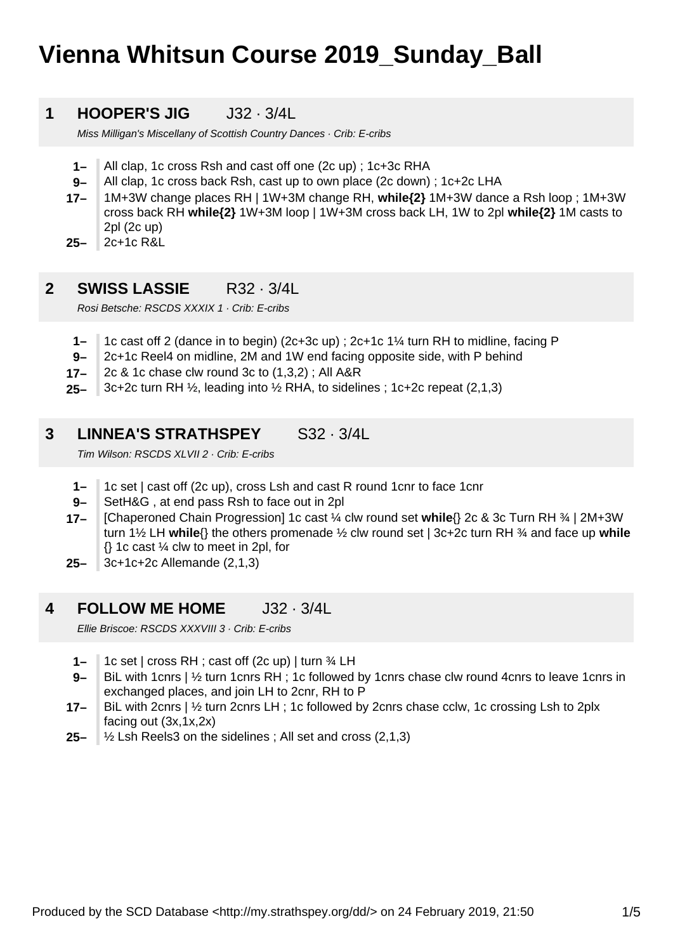# **Vienna Whitsun Course 2019\_Sunday\_Ball**

### **1 HOOPER'S JIG** J32 · 3/4L

Miss Milligan's Miscellany of Scottish Country Dances · Crib: E-cribs

- **1–** All clap, 1c cross Rsh and cast off one (2c up) ; 1c+3c RHA
- **9–** All clap, 1c cross back Rsh, cast up to own place (2c down) ; 1c+2c LHA
- **17–** 1M+3W change places RH | 1W+3M change RH, **while{2}** 1M+3W dance a Rsh loop ; 1M+3W cross back RH **while{2}** 1W+3M loop | 1W+3M cross back LH, 1W to 2pl **while{2}** 1M casts to 2pl (2c up)
- **25–** 2c+1c R&L

### **2 SWISS LASSIE** R32 · 3/4L

Rosi Betsche: RSCDS XXXIX 1 · Crib: E-cribs

- **1–** 1c cast off 2 (dance in to begin) (2c+3c up) ; 2c+1c 1¼ turn RH to midline, facing P
- **9–** 2c+1c Reel4 on midline, 2M and 1W end facing opposite side, with P behind
- **17–** 2c & 1c chase clw round 3c to (1,3,2) ; All A&R
- **25–** 3c+2c turn RH ½, leading into ½ RHA, to sidelines ; 1c+2c repeat (2,1,3)

### **3 LINNEA'S STRATHSPEY** S32 · 3/4L

Tim Wilson: RSCDS XLVII 2 · Crib: E-cribs

- **1–** 1c set | cast off (2c up), cross Lsh and cast R round 1cnr to face 1cnr
- **9–** SetH&G , at end pass Rsh to face out in 2pl
- **17–** [Chaperoned Chain Progression] 1c cast ¼ clw round set **while**{} 2c & 3c Turn RH ¾ | 2M+3W turn 1½ LH **while**{} the others promenade ½ clw round set | 3c+2c turn RH ¾ and face up **while** {} 1c cast ¼ clw to meet in 2pl, for
- **25–** 3c+1c+2c Allemande (2,1,3)

### **4 FOLLOW ME HOME** J32 · 3/4L

Ellie Briscoe: RSCDS XXXVIII 3 · Crib: E-cribs

- **1–** 1c set | cross RH ; cast off (2c up) | turn ¾ LH
- **9–** BiL with 1cnrs | ½ turn 1cnrs RH ; 1c followed by 1cnrs chase clw round 4cnrs to leave 1cnrs in exchanged places, and join LH to 2cnr, RH to P
- **17–** BiL with 2cnrs | ½ turn 2cnrs LH ; 1c followed by 2cnrs chase cclw, 1c crossing Lsh to 2plx facing out (3x,1x,2x)
- **25–** ½ Lsh Reels3 on the sidelines ; All set and cross (2,1,3)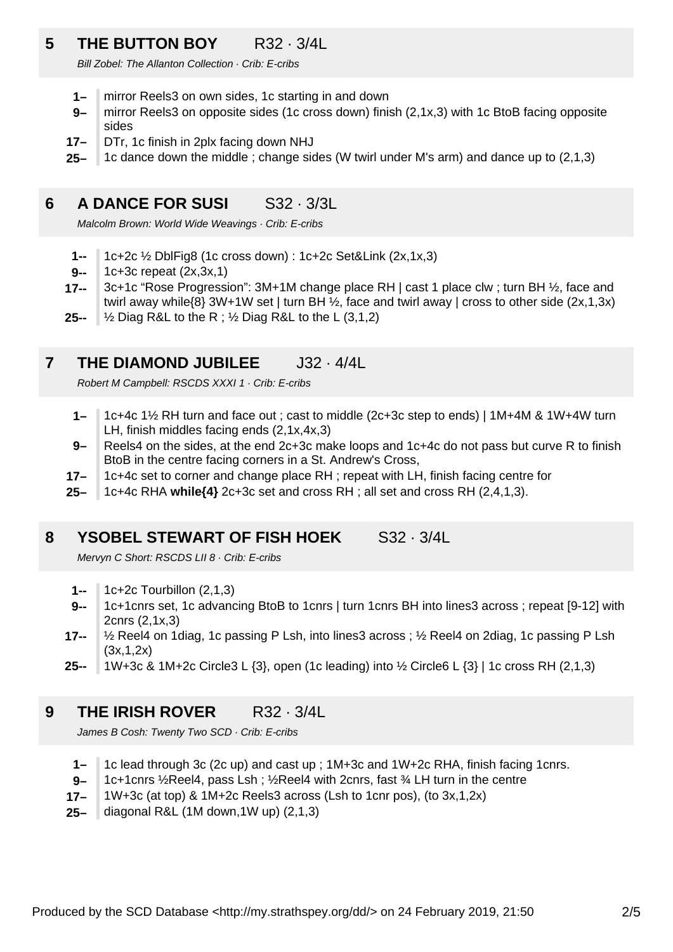### **5 THE BUTTON BOY** R32 · 3/4L

Bill Zobel: The Allanton Collection · Crib: E-cribs

- **1–** mirror Reels3 on own sides, 1c starting in and down
- **9–** mirror Reels3 on opposite sides (1c cross down) finish (2,1x,3) with 1c BtoB facing opposite sides
- **17–** DTr, 1c finish in 2plx facing down NHJ
- **25–** 1c dance down the middle ; change sides (W twirl under M's arm) and dance up to (2,1,3)

### **6 A DANCE FOR SUSI** S32 · 3/3L

Malcolm Brown: World Wide Weavings · Crib: E-cribs

- **1--** 1c+2c ½ DblFig8 (1c cross down) : 1c+2c Set&Link (2x,1x,3)
- **9--** 1c+3c repeat (2x,3x,1)
- **17--** 3c+1c "Rose Progression": 3M+1M change place RH | cast 1 place clw ; turn BH ½, face and twirl away while{8} 3W+1W set | turn BH  $\frac{1}{2}$ , face and twirl away | cross to other side (2x,1,3x)

**25--** ½ Diag R&L to the R ; ½ Diag R&L to the L (3,1,2)

### **7 THE DIAMOND JUBILEE** J32 · 4/4L

Robert M Campbell: RSCDS XXXI 1 · Crib: E-cribs

- **1–** 1c+4c 1½ RH turn and face out ; cast to middle (2c+3c step to ends) | 1M+4M & 1W+4W turn LH, finish middles facing ends (2,1x,4x,3)
- **9–** Reels4 on the sides, at the end 2c+3c make loops and 1c+4c do not pass but curve R to finish BtoB in the centre facing corners in a St. Andrew's Cross,
- **17–** 1c+4c set to corner and change place RH ; repeat with LH, finish facing centre for
- **25–** 1c+4c RHA **while{4}** 2c+3c set and cross RH ; all set and cross RH (2,4,1,3).

### **8 YSOBEL STEWART OF FISH HOEK** S32 · 3/4L

Mervyn C Short: RSCDS LII 8 · Crib: E-cribs

- **1--** 1c+2c Tourbillon (2,1,3)
- **9--** 1c+1cnrs set, 1c advancing BtoB to 1cnrs | turn 1cnrs BH into lines3 across ; repeat [9-12] with 2cnrs (2,1x,3)
- **17--** ½ Reel4 on 1diag, 1c passing P Lsh, into lines3 across ; ½ Reel4 on 2diag, 1c passing P Lsh  $(3x, 1, 2x)$
- **25--** 1W+3c & 1M+2c Circle3 L  $\{3\}$ , open (1c leading) into  $\frac{1}{2}$  Circle6 L  $\{3\}$  | 1c cross RH (2,1,3)

### **9 THE IRISH ROVER** R32 · 3/4L

James B Cosh: Twenty Two SCD · Crib: E-cribs

- **1–** 1c lead through 3c (2c up) and cast up ; 1M+3c and 1W+2c RHA, finish facing 1cnrs.
- **9–** 1c+1cnrs ½Reel4, pass Lsh ; ½Reel4 with 2cnrs, fast ¾ LH turn in the centre
- **17–** 1W+3c (at top) & 1M+2c Reels3 across (Lsh to 1cnr pos), (to 3x,1,2x)
- **25–** diagonal R&L (1M down,1W up) (2,1,3)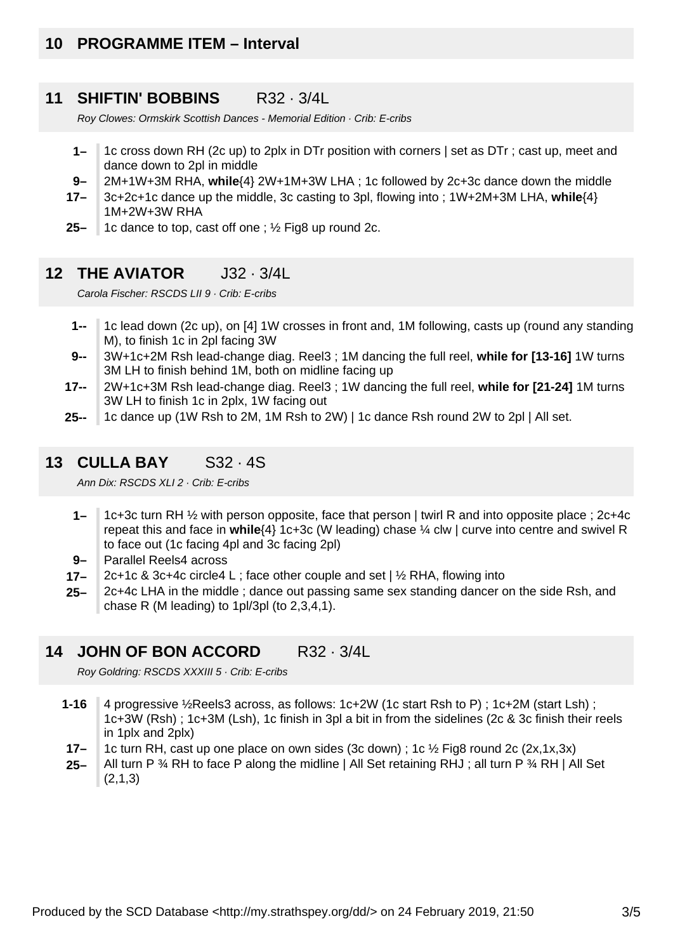### **10 PROGRAMME ITEM – Interval**

#### **11 SHIFTIN' BOBBINS** R32 · 3/4L

Roy Clowes: Ormskirk Scottish Dances - Memorial Edition · Crib: E-cribs

- **1–** 1c cross down RH (2c up) to 2plx in DTr position with corners | set as DTr ; cast up, meet and dance down to 2pl in middle
- **9–** 2M+1W+3M RHA, **while**{4} 2W+1M+3W LHA ; 1c followed by 2c+3c dance down the middle
- **17–** 3c+2c+1c dance up the middle, 3c casting to 3pl, flowing into ; 1W+2M+3M LHA, **while**{4} 1M+2W+3W RHA
- **25–** 1c dance to top, cast off one ; ½ Fig8 up round 2c.

### **12 THE AVIATOR** J32 · 3/4L

Carola Fischer: RSCDS LII 9 · Crib: E-cribs

- **1--** 1c lead down (2c up), on [4] 1W crosses in front and, 1M following, casts up (round any standing M), to finish 1c in 2pl facing 3W
- **9--** 3W+1c+2M Rsh lead-change diag. Reel3 ; 1M dancing the full reel, **while for [13-16]** 1W turns 3M LH to finish behind 1M, both on midline facing up
- **17--** 2W+1c+3M Rsh lead-change diag. Reel3 ; 1W dancing the full reel, **while for [21-24]** 1M turns 3W LH to finish 1c in 2plx, 1W facing out
- **25--** 1c dance up (1W Rsh to 2M, 1M Rsh to 2W) | 1c dance Rsh round 2W to 2pl | All set.

### **13 CULLA BAY** S32 · 4S

Ann Dix: RSCDS XLI 2 · Crib: E-cribs

- **1–** 1c+3c turn RH ½ with person opposite, face that person | twirl R and into opposite place ; 2c+4c repeat this and face in **while**{4} 1c+3c (W leading) chase ¼ clw | curve into centre and swivel R to face out (1c facing 4pl and 3c facing 2pl)
- **9–** Parallel Reels4 across
- **17–** 2c+1c & 3c+4c circle4 L ; face other couple and set | ½ RHA, flowing into
- **25–** 2c+4c LHA in the middle ; dance out passing same sex standing dancer on the side Rsh, and chase R (M leading) to 1pl/3pl (to 2,3,4,1).

### **14 JOHN OF BON ACCORD** R32 · 3/4L

Roy Goldring: RSCDS XXXIII 5 · Crib: E-cribs

- **1-16** 4 progressive ½Reels3 across, as follows: 1c+2W (1c start Rsh to P) ; 1c+2M (start Lsh) ; 1c+3W (Rsh) ; 1c+3M (Lsh), 1c finish in 3pl a bit in from the sidelines (2c & 3c finish their reels in 1plx and 2plx)
- **17–** 1c turn RH, cast up one place on own sides (3c down) ; 1c ½ Fig8 round 2c (2x,1x,3x)
- **25–** All turn P  $\frac{3}{4}$  RH to face P along the midline | All Set retaining RHJ ; all turn P  $\frac{3}{4}$  RH | All Set (2,1,3)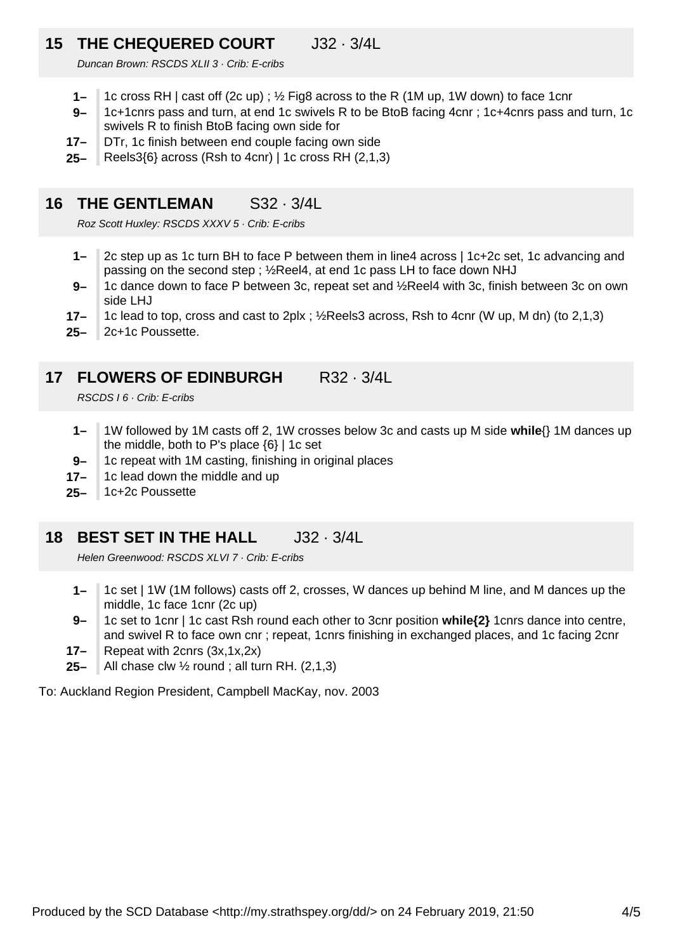### **15 THE CHEQUERED COURT** J32 · 3/4L

Duncan Brown: RSCDS XLII 3 · Crib: E-cribs

- **1–** 1c cross RH  $\vert$  cast off (2c up) ;  $\frac{1}{2}$  Fig8 across to the R (1M up, 1W down) to face 1cnr
- **9–** 1c+1cnrs pass and turn, at end 1c swivels R to be BtoB facing 4cnr ; 1c+4cnrs pass and turn, 1c swivels R to finish BtoB facing own side for
- **17–** DTr, 1c finish between end couple facing own side
- **25–** Reels3{6} across (Rsh to 4cnr) | 1c cross RH (2,1,3)

### **16 THE GENTLEMAN** S32 · 3/4L

Roz Scott Huxley: RSCDS XXXV 5 · Crib: E-cribs

- **1–** 2c step up as 1c turn BH to face P between them in line4 across | 1c+2c set, 1c advancing and passing on the second step ; ½Reel4, at end 1c pass LH to face down NHJ
- **9–** 1c dance down to face P between 3c, repeat set and ½Reel4 with 3c, finish between 3c on own side LHJ
- **17–** 1c lead to top, cross and cast to 2plx ; ½Reels3 across, Rsh to 4cnr (W up, M dn) (to 2,1,3)
- **25–** 2c+1c Poussette.

### **17 FLOWERS OF EDINBURGH** R32 · 3/4L

RSCDS I 6 · Crib: E-cribs

- **1–** 1W followed by 1M casts off 2, 1W crosses below 3c and casts up M side **while**{} 1M dances up the middle, both to P's place {6} | 1c set
- **9–** 1c repeat with 1M casting, finishing in original places
- **17–** 1c lead down the middle and up
- **25–** 1c+2c Poussette

### **18 BEST SET IN THE HALL** J32 · 3/4L

Helen Greenwood: RSCDS XI VI 7 · Crib: F-cribs

- **1–** 1c set | 1W (1M follows) casts off 2, crosses, W dances up behind M line, and M dances up the middle, 1c face 1cnr (2c up)
- **9–** 1c set to 1cnr | 1c cast Rsh round each other to 3cnr position **while{2}** 1cnrs dance into centre, and swivel R to face own cnr ; repeat, 1cnrs finishing in exchanged places, and 1c facing 2cnr
- **17–** Repeat with 2cnrs (3x,1x,2x)
- **25–** All chase clw ½ round ; all turn RH. (2,1,3)

To: Auckland Region President, Campbell MacKay, nov. 2003